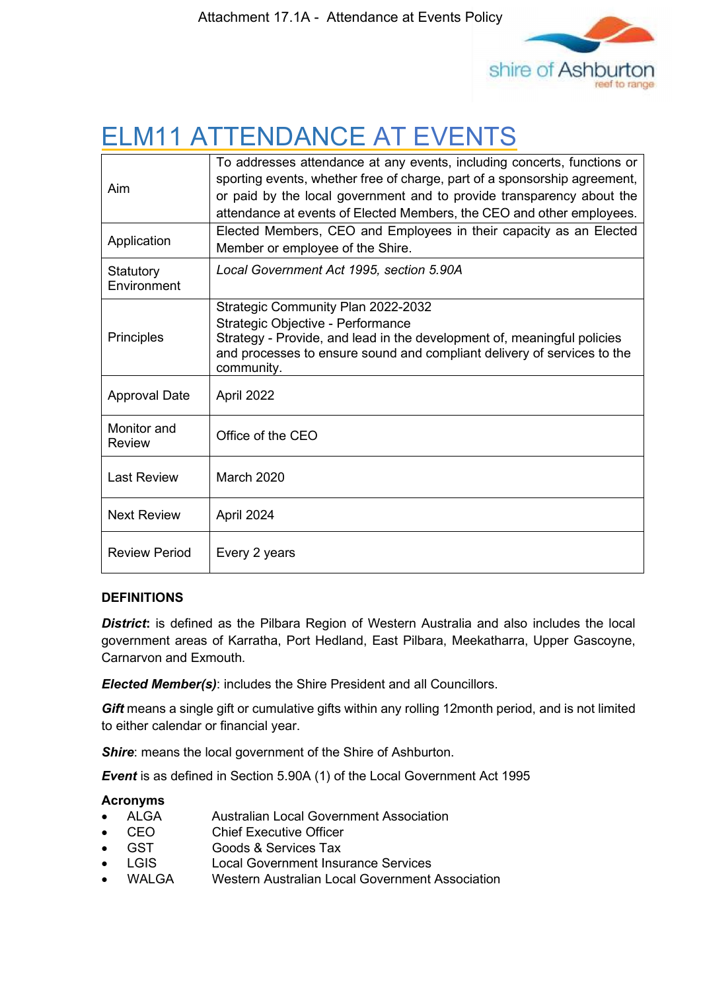

# ELM11 ATTENDANCE AT EVENTS

| Aim                      | To addresses attendance at any events, including concerts, functions or<br>sporting events, whether free of charge, part of a sponsorship agreement,<br>or paid by the local government and to provide transparency about the<br>attendance at events of Elected Members, the CEO and other employees. |
|--------------------------|--------------------------------------------------------------------------------------------------------------------------------------------------------------------------------------------------------------------------------------------------------------------------------------------------------|
| Application              | Elected Members, CEO and Employees in their capacity as an Elected<br>Member or employee of the Shire.                                                                                                                                                                                                 |
| Statutory<br>Environment | Local Government Act 1995, section 5.90A                                                                                                                                                                                                                                                               |
| Principles               | Strategic Community Plan 2022-2032<br>Strategic Objective - Performance<br>Strategy - Provide, and lead in the development of, meaningful policies<br>and processes to ensure sound and compliant delivery of services to the<br>community.                                                            |
| <b>Approval Date</b>     | April 2022                                                                                                                                                                                                                                                                                             |
| Monitor and<br>Review    | Office of the CEO                                                                                                                                                                                                                                                                                      |
| <b>Last Review</b>       | <b>March 2020</b>                                                                                                                                                                                                                                                                                      |
| <b>Next Review</b>       | April 2024                                                                                                                                                                                                                                                                                             |
| <b>Review Period</b>     | Every 2 years                                                                                                                                                                                                                                                                                          |

#### **DEFINITIONS**

**District:** is defined as the Pilbara Region of Western Australia and also includes the local government areas of Karratha, Port Hedland, East Pilbara, Meekatharra, Upper Gascoyne, Carnarvon and Exmouth.

*Elected Member(s)*: includes the Shire President and all Councillors.

**Gift** means a single gift or cumulative gifts within any rolling 12month period, and is not limited to either calendar or financial year.

**Shire:** means the local government of the Shire of Ashburton.

*Event* is as defined in Section 5.90A (1) of the Local Government Act 1995

#### **Acronyms**

- ALGA Australian Local Government Association
- CEO Chief Executive Officer
- GST **Goods & Services Tax**
- LGIS Local Government Insurance Services
- WALGA Western Australian Local Government Association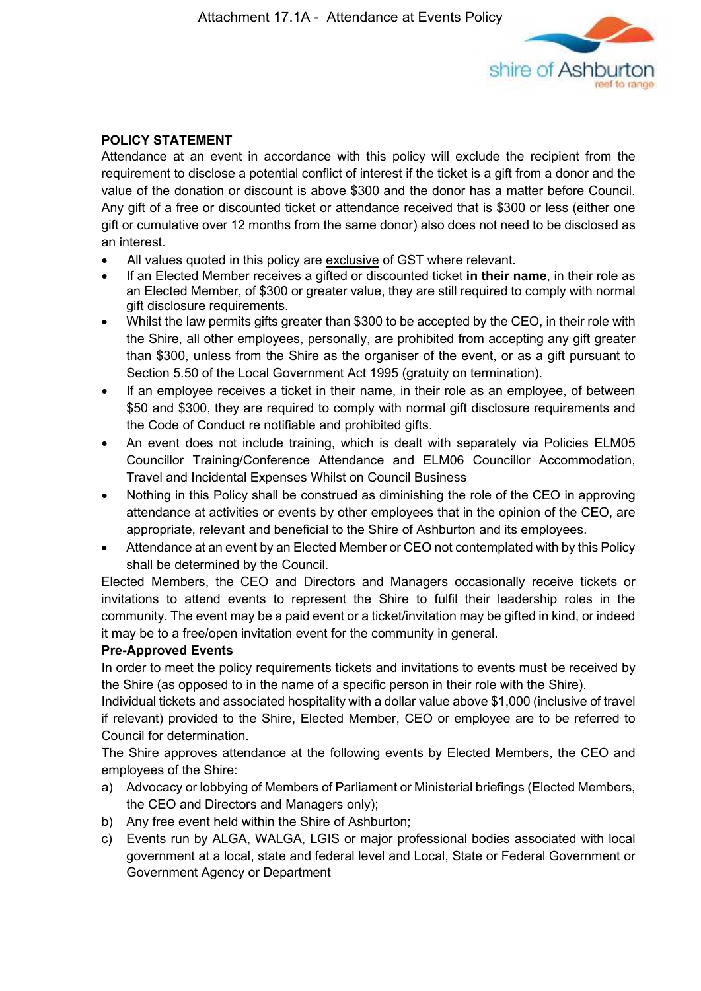

## **POLICY STATEMENT**

Attendance at an event in accordance with this policy will exclude the recipient from the requirement to disclose a potential conflict of interest if the ticket is a gift from a donor and the value of the donation or discount is above \$300 and the donor has a matter before Council. Any gift of a free or discounted ticket or attendance received that is \$300 or less (either one gift or cumulative over 12 months from the same donor) also does not need to be disclosed as an interest.

- All values quoted in this policy are exclusive of GST where relevant.
- If an Elected Member receives a gifted or discounted ticket **in their name**, in their role as an Elected Member, of \$300 or greater value, they are still required to comply with normal gift disclosure requirements.
- Whilst the law permits gifts greater than \$300 to be accepted by the CEO, in their role with the Shire, all other employees, personally, are prohibited from accepting any gift greater than \$300, unless from the Shire as the organiser of the event, or as a gift pursuant to Section 5.50 of the Local Government Act 1995 (gratuity on termination).
- If an employee receives a ticket in their name, in their role as an employee, of between \$50 and \$300, they are required to comply with normal gift disclosure requirements and the Code of Conduct re notifiable and prohibited gifts.
- An event does not include training, which is dealt with separately via Policies ELM05 Councillor Training/Conference Attendance and ELM06 Councillor Accommodation, Travel and Incidental Expenses Whilst on Council Business
- Nothing in this Policy shall be construed as diminishing the role of the CEO in approving attendance at activities or events by other employees that in the opinion of the CEO, are appropriate, relevant and beneficial to the Shire of Ashburton and its employees.
- Attendance at an event by an Elected Member or CEO not contemplated with by this Policy shall be determined by the Council.

Elected Members, the CEO and Directors and Managers occasionally receive tickets or invitations to attend events to represent the Shire to fulfil their leadership roles in the community. The event may be a paid event or a ticket/invitation may be gifted in kind, or indeed it may be to a free/open invitation event for the community in general.

#### **Pre-Approved Events**

In order to meet the policy requirements tickets and invitations to events must be received by the Shire (as opposed to in the name of a specific person in their role with the Shire).

Individual tickets and associated hospitality with a dollar value above \$1,000 (inclusive of travel if relevant) provided to the Shire, Elected Member, CEO or employee are to be referred to Council for determination.

The Shire approves attendance at the following events by Elected Members, the CEO and employees of the Shire:

- a) Advocacy or lobbying of Members of Parliament or Ministerial briefings (Elected Members, the CEO and Directors and Managers only);
- b) Any free event held within the Shire of Ashburton;
- c) Events run by ALGA, WALGA, LGIS or major professional bodies associated with local government at a local, state and federal level and Local, State or Federal Government or Government Agency or Department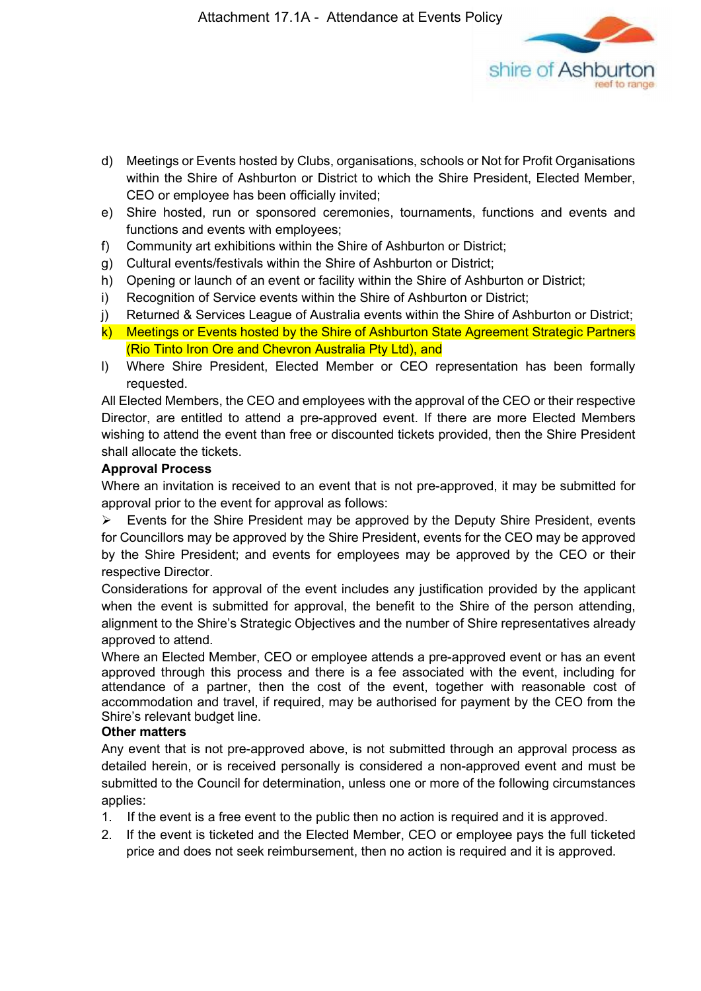

- d) Meetings or Events hosted by Clubs, organisations, schools or Not for Profit Organisations within the Shire of Ashburton or District to which the Shire President, Elected Member, CEO or employee has been officially invited;
- e) Shire hosted, run or sponsored ceremonies, tournaments, functions and events and functions and events with employees;
- f) Community art exhibitions within the Shire of Ashburton or District;
- g) Cultural events/festivals within the Shire of Ashburton or District;
- h) Opening or launch of an event or facility within the Shire of Ashburton or District;
- i) Recognition of Service events within the Shire of Ashburton or District;
- j) Returned & Services League of Australia events within the Shire of Ashburton or District;
- k) Meetings or Events hosted by the Shire of Ashburton State Agreement Strategic Partners (Rio Tinto Iron Ore and Chevron Australia Pty Ltd), and
- l) Where Shire President, Elected Member or CEO representation has been formally requested.

All Elected Members, the CEO and employees with the approval of the CEO or their respective Director, are entitled to attend a pre-approved event. If there are more Elected Members wishing to attend the event than free or discounted tickets provided, then the Shire President shall allocate the tickets.

#### **Approval Process**

Where an invitation is received to an event that is not pre-approved, it may be submitted for approval prior to the event for approval as follows:

 $\triangleright$  Events for the Shire President may be approved by the Deputy Shire President, events for Councillors may be approved by the Shire President, events for the CEO may be approved by the Shire President; and events for employees may be approved by the CEO or their respective Director.

Considerations for approval of the event includes any justification provided by the applicant when the event is submitted for approval, the benefit to the Shire of the person attending, alignment to the Shire's Strategic Objectives and the number of Shire representatives already approved to attend.

Where an Elected Member, CEO or employee attends a pre-approved event or has an event approved through this process and there is a fee associated with the event, including for attendance of a partner, then the cost of the event, together with reasonable cost of accommodation and travel, if required, may be authorised for payment by the CEO from the Shire's relevant budget line.

#### **Other matters**

Any event that is not pre-approved above, is not submitted through an approval process as detailed herein, or is received personally is considered a non-approved event and must be submitted to the Council for determination, unless one or more of the following circumstances applies:

- 1. If the event is a free event to the public then no action is required and it is approved.
- 2. If the event is ticketed and the Elected Member, CEO or employee pays the full ticketed price and does not seek reimbursement, then no action is required and it is approved.